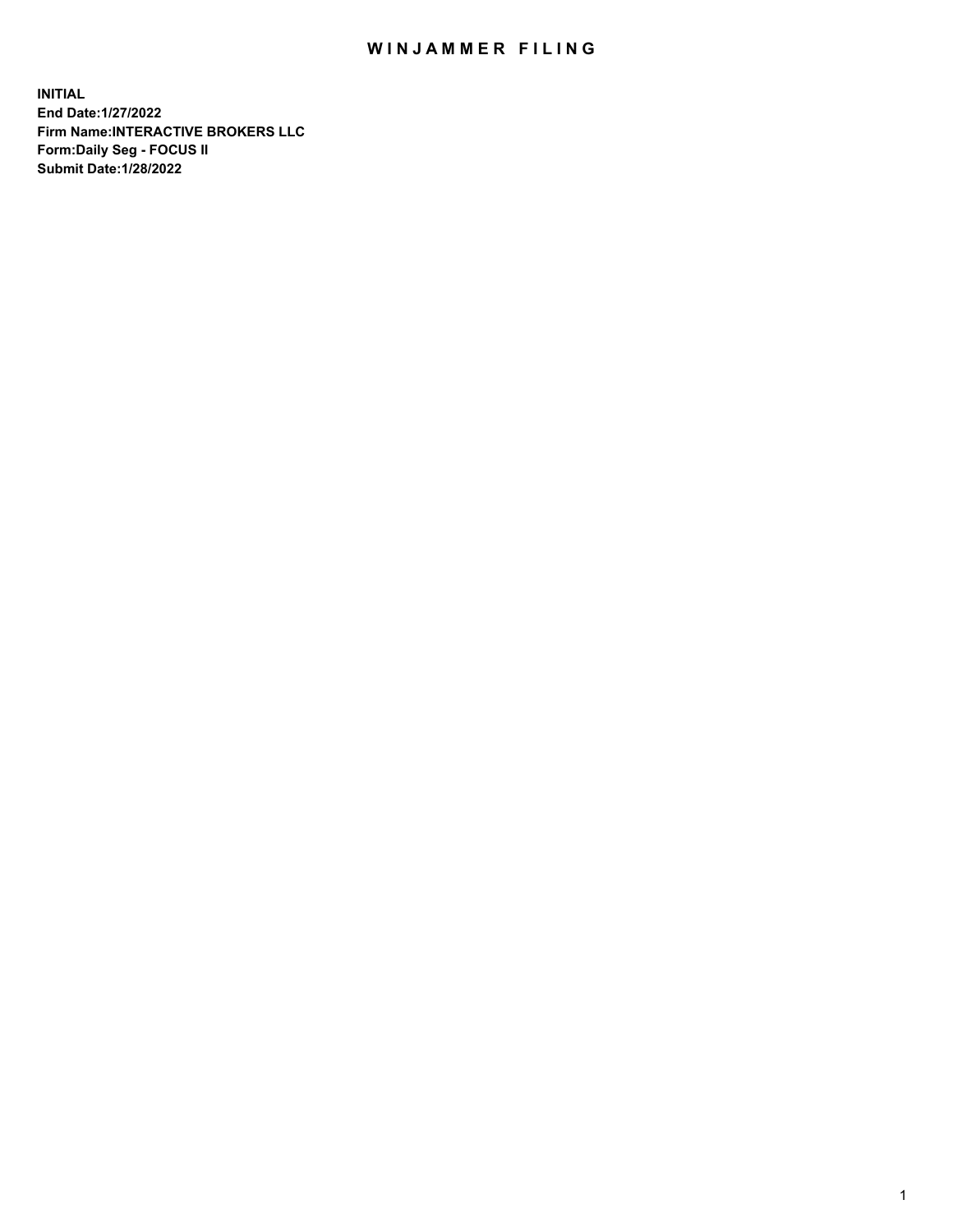## WIN JAMMER FILING

**INITIAL End Date:1/27/2022 Firm Name:INTERACTIVE BROKERS LLC Form:Daily Seg - FOCUS II Submit Date:1/28/2022**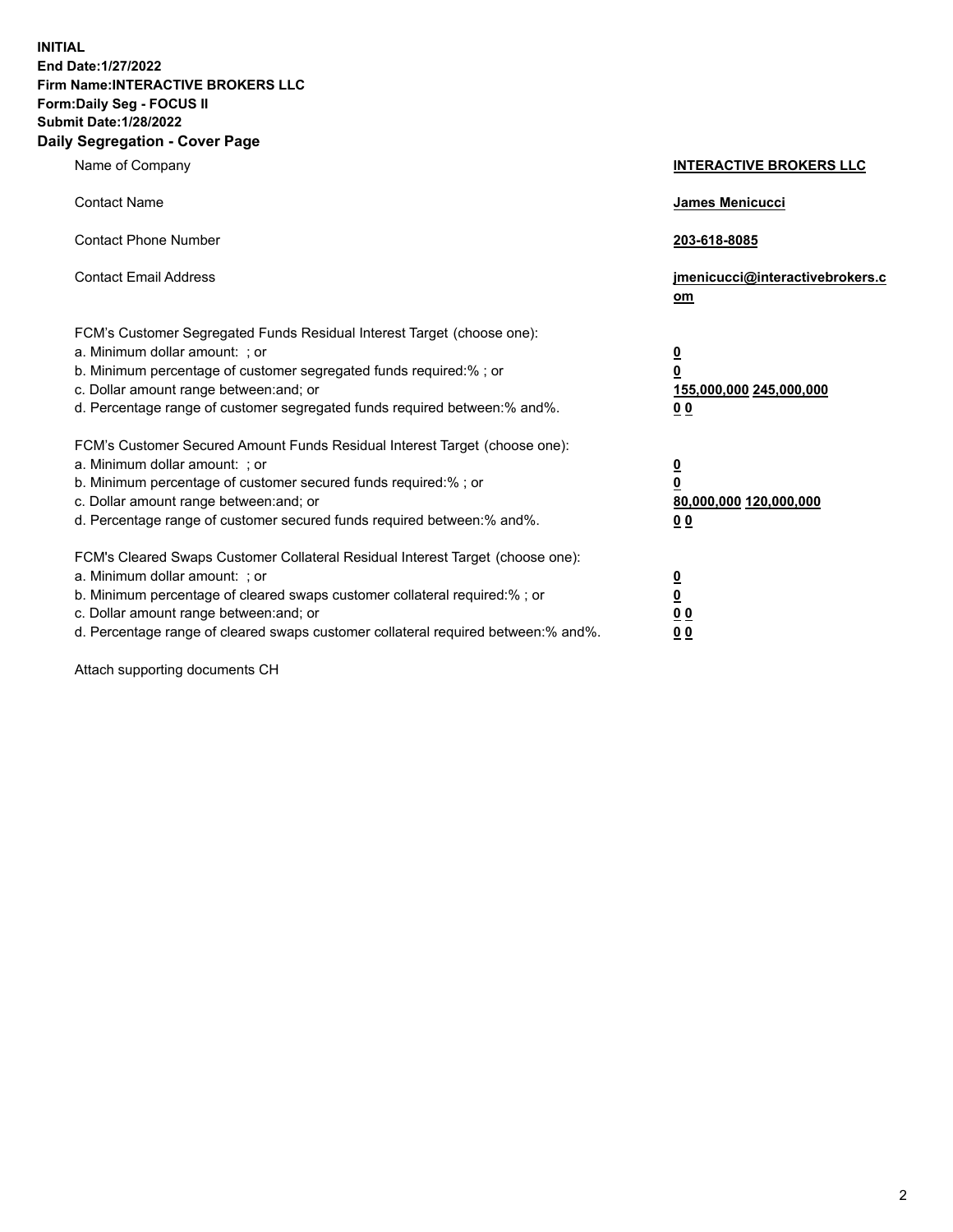**INITIAL End Date:1/27/2022 Firm Name:INTERACTIVE BROKERS LLC Form:Daily Seg - FOCUS II Submit Date:1/28/2022 Daily Segregation - Cover Page**

| Name of Company                                                                                                                                                                                                                                                                                                                | <b>INTERACTIVE BROKERS LLC</b>                                                                  |
|--------------------------------------------------------------------------------------------------------------------------------------------------------------------------------------------------------------------------------------------------------------------------------------------------------------------------------|-------------------------------------------------------------------------------------------------|
| <b>Contact Name</b>                                                                                                                                                                                                                                                                                                            | James Menicucci                                                                                 |
| <b>Contact Phone Number</b>                                                                                                                                                                                                                                                                                                    | 203-618-8085                                                                                    |
| <b>Contact Email Address</b>                                                                                                                                                                                                                                                                                                   | jmenicucci@interactivebrokers.c<br>$om$                                                         |
| FCM's Customer Segregated Funds Residual Interest Target (choose one):<br>a. Minimum dollar amount: ; or<br>b. Minimum percentage of customer segregated funds required:% ; or<br>c. Dollar amount range between: and; or<br>d. Percentage range of customer segregated funds required between:% and%.                         | $\overline{\mathbf{0}}$<br>$\overline{\mathbf{0}}$<br>155,000,000 245,000,000<br>0 <sub>0</sub> |
| FCM's Customer Secured Amount Funds Residual Interest Target (choose one):<br>a. Minimum dollar amount: ; or<br>b. Minimum percentage of customer secured funds required:%; or<br>c. Dollar amount range between: and; or<br>d. Percentage range of customer secured funds required between:% and%.                            | $\overline{\mathbf{0}}$<br>$\overline{\mathbf{0}}$<br>80,000,000 120,000,000<br>0 <sub>0</sub>  |
| FCM's Cleared Swaps Customer Collateral Residual Interest Target (choose one):<br>a. Minimum dollar amount: ; or<br>b. Minimum percentage of cleared swaps customer collateral required:% ; or<br>c. Dollar amount range between: and; or<br>d. Percentage range of cleared swaps customer collateral required between:% and%. | $\overline{\mathbf{0}}$<br><u>0</u><br>0 <sub>0</sub><br>0 <sub>0</sub>                         |

Attach supporting documents CH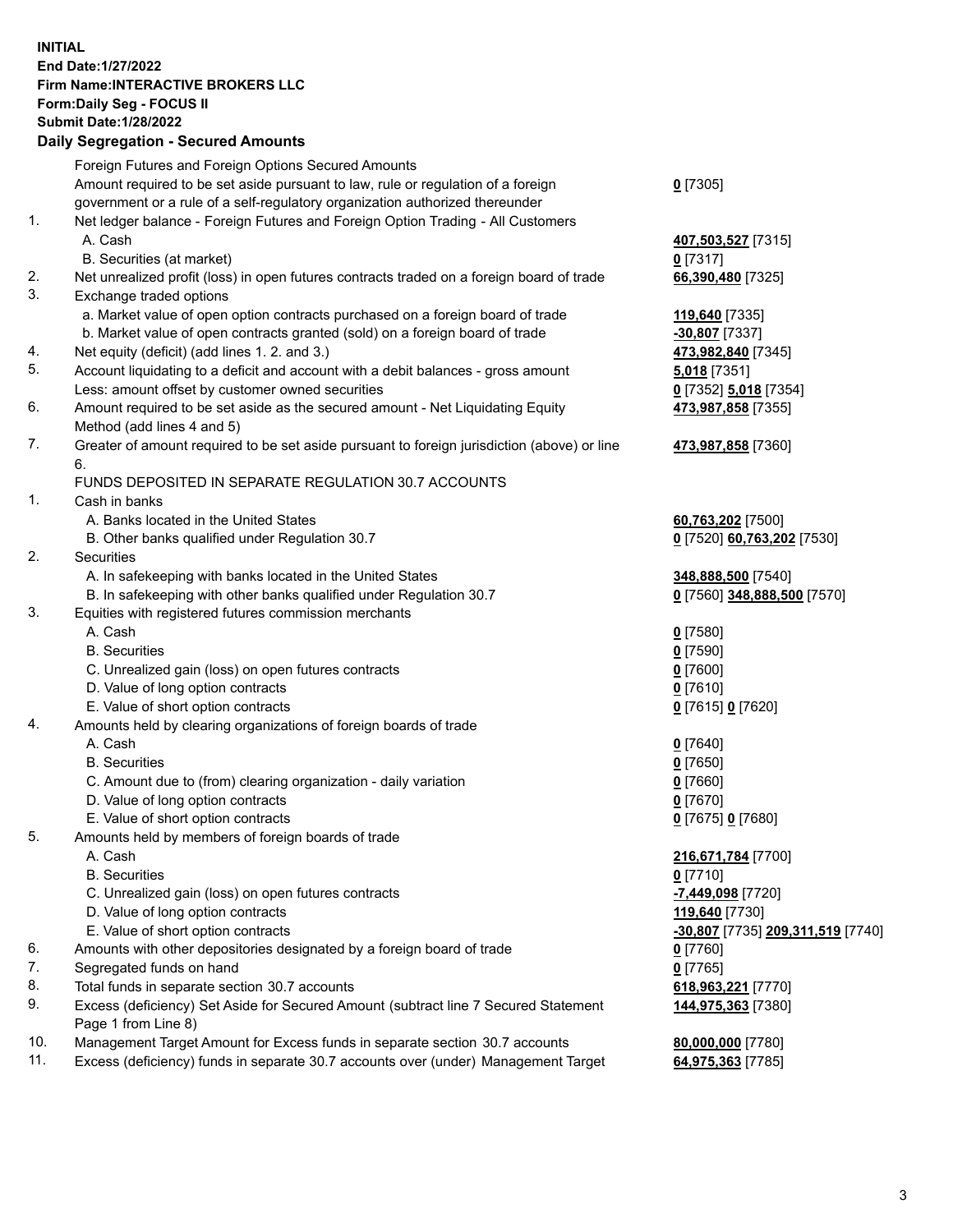**INITIAL End Date:1/27/2022 Firm Name:INTERACTIVE BROKERS LLC Form:Daily Seg - FOCUS II Submit Date:1/28/2022 Daily Segregation - Secured Amounts**

|     | Foreign Futures and Foreign Options Secured Amounts                                         |                                                |
|-----|---------------------------------------------------------------------------------------------|------------------------------------------------|
|     | Amount required to be set aside pursuant to law, rule or regulation of a foreign            | $0$ [7305]                                     |
|     | government or a rule of a self-regulatory organization authorized thereunder                |                                                |
| 1.  | Net ledger balance - Foreign Futures and Foreign Option Trading - All Customers             |                                                |
|     | A. Cash                                                                                     | 407,503,527 [7315]                             |
|     | B. Securities (at market)                                                                   | $0$ [7317]                                     |
| 2.  | Net unrealized profit (loss) in open futures contracts traded on a foreign board of trade   | 66,390,480 [7325]                              |
| 3.  | Exchange traded options                                                                     |                                                |
|     | a. Market value of open option contracts purchased on a foreign board of trade              | 119,640 [7335]                                 |
|     | b. Market value of open contracts granted (sold) on a foreign board of trade                | -30,807 [7337]                                 |
| 4.  | Net equity (deficit) (add lines 1.2. and 3.)                                                | 473,982,840 [7345]                             |
| 5.  | Account liquidating to a deficit and account with a debit balances - gross amount           | 5,018 [7351]                                   |
|     | Less: amount offset by customer owned securities                                            | 0 [7352] 5,018 [7354]                          |
| 6.  | Amount required to be set aside as the secured amount - Net Liquidating Equity              | 473,987,858 [7355]                             |
|     | Method (add lines 4 and 5)                                                                  |                                                |
| 7.  | Greater of amount required to be set aside pursuant to foreign jurisdiction (above) or line | 473,987,858 [7360]                             |
|     | 6.                                                                                          |                                                |
|     | FUNDS DEPOSITED IN SEPARATE REGULATION 30.7 ACCOUNTS                                        |                                                |
| 1.  | Cash in banks                                                                               |                                                |
|     | A. Banks located in the United States                                                       | 60,763,202 [7500]                              |
|     | B. Other banks qualified under Regulation 30.7                                              | 0 [7520] 60,763,202 [7530]                     |
| 2.  | Securities                                                                                  |                                                |
|     | A. In safekeeping with banks located in the United States                                   | 348,888,500 [7540]                             |
|     | B. In safekeeping with other banks qualified under Regulation 30.7                          | 0 [7560] 348,888,500 [7570]                    |
| 3.  | Equities with registered futures commission merchants                                       |                                                |
|     | A. Cash                                                                                     | $0$ [7580]                                     |
|     | <b>B.</b> Securities                                                                        | $0$ [7590]                                     |
|     | C. Unrealized gain (loss) on open futures contracts                                         | $0$ [7600]                                     |
|     | D. Value of long option contracts                                                           | $0$ [7610]                                     |
|     | E. Value of short option contracts                                                          | 0 [7615] 0 [7620]                              |
| 4.  | Amounts held by clearing organizations of foreign boards of trade                           |                                                |
|     | A. Cash                                                                                     | $Q$ [7640]                                     |
|     | <b>B.</b> Securities                                                                        | $0$ [7650]                                     |
|     | C. Amount due to (from) clearing organization - daily variation                             | $0$ [7660]                                     |
|     | D. Value of long option contracts                                                           | $0$ [7670]                                     |
|     | E. Value of short option contracts                                                          | 0 [7675] 0 [7680]                              |
| 5.  | Amounts held by members of foreign boards of trade                                          |                                                |
|     | A. Cash                                                                                     | 216,671,784 [7700]                             |
|     | <b>B.</b> Securities                                                                        | $0$ [7710]                                     |
|     | C. Unrealized gain (loss) on open futures contracts                                         | -7,449,098 [7720]                              |
|     | D. Value of long option contracts                                                           | 119,640 [7730]                                 |
|     | E. Value of short option contracts                                                          | <mark>-30,807</mark> [7735] 209,311,519 [7740] |
| 6.  | Amounts with other depositories designated by a foreign board of trade                      | 0 [7760]                                       |
| 7.  | Segregated funds on hand                                                                    | $0$ [7765]                                     |
| 8.  | Total funds in separate section 30.7 accounts                                               | 618,963,221 [7770]                             |
| 9.  | Excess (deficiency) Set Aside for Secured Amount (subtract line 7 Secured Statement         | 144,975,363 [7380]                             |
|     | Page 1 from Line 8)                                                                         |                                                |
| 10. | Management Target Amount for Excess funds in separate section 30.7 accounts                 | 80,000,000 [7780]                              |
| 11. | Excess (deficiency) funds in separate 30.7 accounts over (under) Management Target          | 64,975,363 [7785]                              |
|     |                                                                                             |                                                |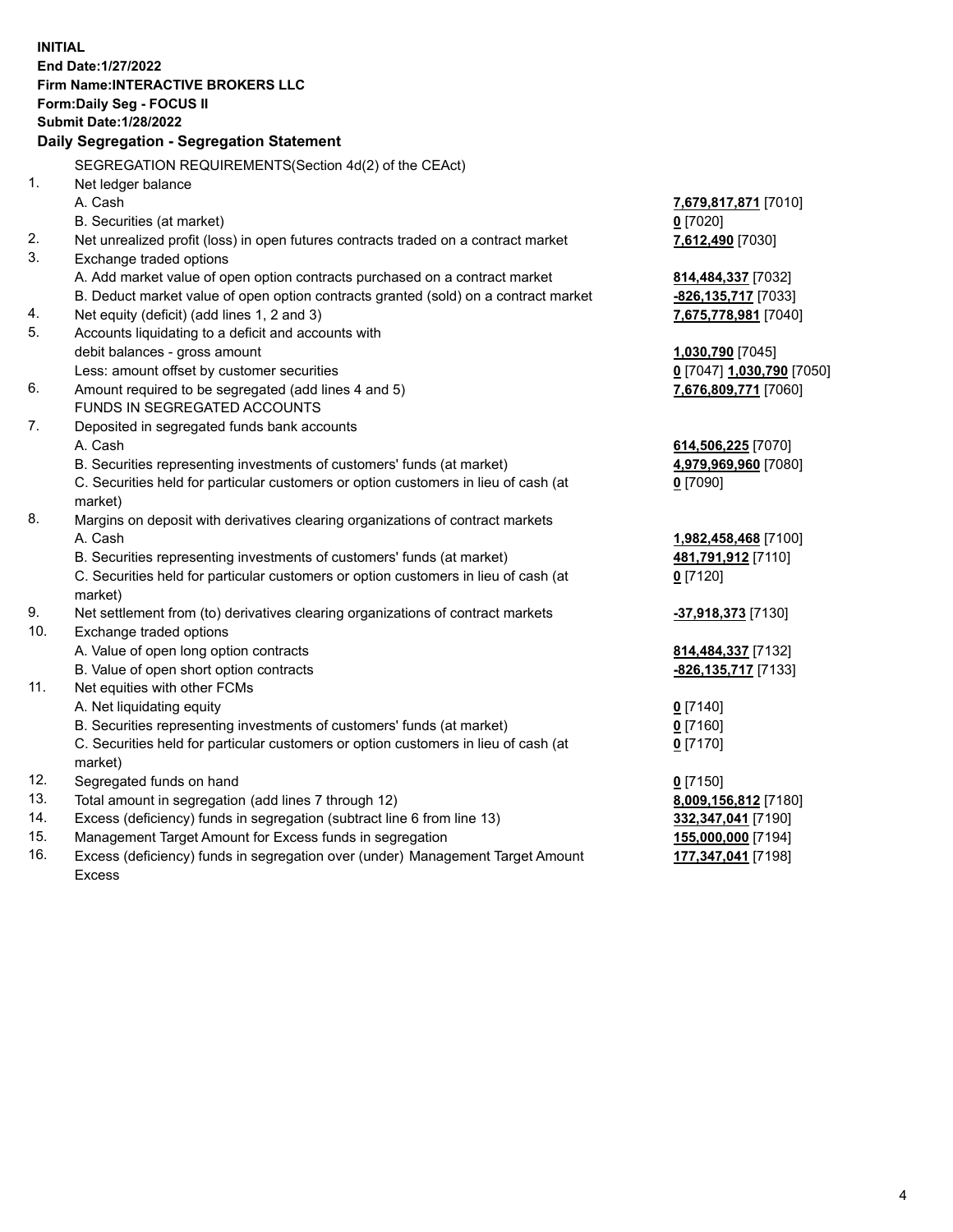**INITIAL End Date:1/27/2022 Firm Name:INTERACTIVE BROKERS LLC Form:Daily Seg - FOCUS II Submit Date:1/28/2022 Daily Segregation - Segregation Statement** SEGREGATION REQUIREMENTS(Section 4d(2) of the CEAct) 1. Net ledger balance A. Cash **7,679,817,871** [7010] B. Securities (at market) **0** [7020] 2. Net unrealized profit (loss) in open futures contracts traded on a contract market **7,612,490** [7030] 3. Exchange traded options A. Add market value of open option contracts purchased on a contract market **814,484,337** [7032] B. Deduct market value of open option contracts granted (sold) on a contract market **-826,135,717** [7033] 4. Net equity (deficit) (add lines 1, 2 and 3) **7,675,778,981** [7040] 5. Accounts liquidating to a deficit and accounts with debit balances - gross amount **1,030,790** [7045] Less: amount offset by customer securities **0** [7047] **1,030,790** [7050] 6. Amount required to be segregated (add lines 4 and 5) **7,676,809,771** [7060] FUNDS IN SEGREGATED ACCOUNTS 7. Deposited in segregated funds bank accounts A. Cash **614,506,225** [7070] B. Securities representing investments of customers' funds (at market) **4,979,969,960** [7080] C. Securities held for particular customers or option customers in lieu of cash (at market) **0** [7090] 8. Margins on deposit with derivatives clearing organizations of contract markets A. Cash **1,982,458,468** [7100] B. Securities representing investments of customers' funds (at market) **481,791,912** [7110] C. Securities held for particular customers or option customers in lieu of cash (at market) **0** [7120] 9. Net settlement from (to) derivatives clearing organizations of contract markets **-37,918,373** [7130] 10. Exchange traded options A. Value of open long option contracts **814,484,337** [7132] B. Value of open short option contracts **-826,135,717** [7133] 11. Net equities with other FCMs A. Net liquidating equity **0** [7140] B. Securities representing investments of customers' funds (at market) **0** [7160] C. Securities held for particular customers or option customers in lieu of cash (at market) **0** [7170] 12. Segregated funds on hand **0** [7150] 13. Total amount in segregation (add lines 7 through 12) **8,009,156,812** [7180] 14. Excess (deficiency) funds in segregation (subtract line 6 from line 13) **332,347,041** [7190] 15. Management Target Amount for Excess funds in segregation **155,000,000** [7194] 16. Excess (deficiency) funds in segregation over (under) Management Target Amount Excess **177,347,041** [7198]